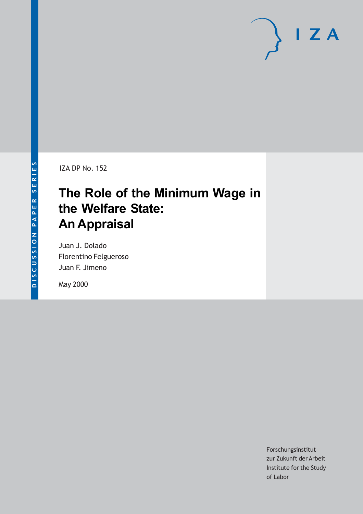# $I Z A$

IZA DP No. 152

# **The Role of the Minimum Wage in the Welfare State: An Appraisal**

Juan J. Dolado Florentino Felgueroso Juan F. Jimeno

May 2000

Forschungsinstitut zur Zukunft der Arbeit Institute for the Study of Labor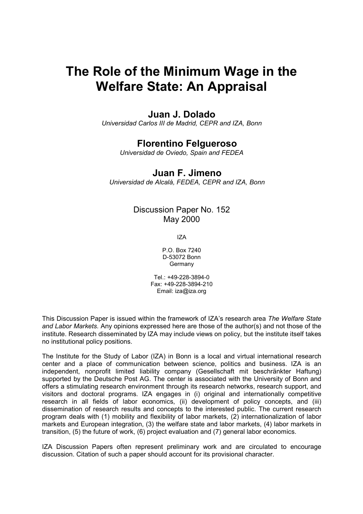# **The Role of the Minimum Wage in the Welfare State: An Appraisal**

### **Juan J. Dolado**

*Universidad Carlos III de Madrid, CEPR and IZA, Bonn* 

## **Florentino Felgueroso**

*Universidad de Oviedo, Spain and FEDEA* 

#### **Juan F. Jimeno**

*Universidad de Alcalá, FEDEA, CEPR and IZA, Bonn* 

#### Discussion Paper No. 152 May 2000

IZA

P.O. Box 7240 D-53072 Bonn **Germany** 

Tel.: +49-228-3894-0 Fax: +49-228-3894-210 Email: iza@iza.org

This Discussion Paper is issued within the framework of IZA's research area *The Welfare State and Labor Markets.* Any opinions expressed here are those of the author(s) and not those of the institute. Research disseminated by IZA may include views on policy, but the institute itself takes no institutional policy positions.

The Institute for the Study of Labor (IZA) in Bonn is a local and virtual international research center and a place of communication between science, politics and business. IZA is an independent, nonprofit limited liability company (Gesellschaft mit beschränkter Haftung) supported by the Deutsche Post AG. The center is associated with the University of Bonn and offers a stimulating research environment through its research networks, research support, and visitors and doctoral programs. IZA engages in (i) original and internationally competitive research in all fields of labor economics, (ii) development of policy concepts, and (iii) dissemination of research results and concepts to the interested public. The current research program deals with (1) mobility and flexibility of labor markets, (2) internationalization of labor markets and European integration, (3) the welfare state and labor markets, (4) labor markets in transition, (5) the future of work, (6) project evaluation and (7) general labor economics.

IZA Discussion Papers often represent preliminary work and are circulated to encourage discussion. Citation of such a paper should account for its provisional character.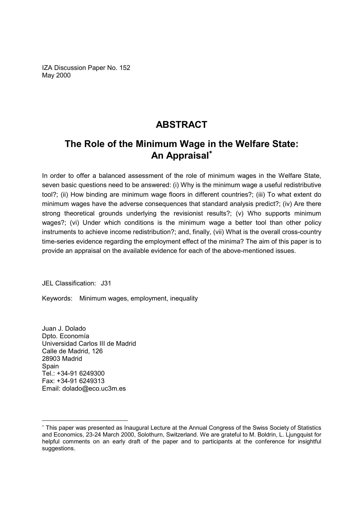IZA Discussion Paper No. 152 May 2000

## **ABSTRACT**

## **The Role of the Minimum Wage in the Welfare State: An Appraisal**<sup>∗</sup>

In order to offer a balanced assessment of the role of minimum wages in the Welfare State, seven basic questions need to be answered: (i) Why is the minimum wage a useful redistributive tool?; (ii) How binding are minimum wage floors in different countries?; (iii) To what extent do minimum wages have the adverse consequences that standard analysis predict?; (iv) Are there strong theoretical grounds underlying the revisionist results?; (v) Who supports minimum wages?; (vi) Under which conditions is the minimum wage a better tool than other policy instruments to achieve income redistribution?; and, finally, (vii) What is the overall cross-country time-series evidence regarding the employment effect of the minima? The aim of this paper is to provide an appraisal on the available evidence for each of the above-mentioned issues.

JEL Classification: J31

Keywords: Minimum wages, employment, inequality

Juan J. Dolado Dpto. Economía Universidad Carlos III de Madrid Calle de Madrid, 126 28903 Madrid **Spain** Tel.: +34-91 6249300 Fax: +34-91 6249313 Email: dolado@eco.uc3m.es

<sup>∗</sup> This paper was presented as Inaugural Lecture at the Annual Congress of the Swiss Society of Statistics and Economics, 23-24 March 2000, Solothurn, Switzerland. We are grateful to M. Boldrin, L. Ljungquist for helpful comments on an early draft of the paper and to participants at the conference for insightful suggestions.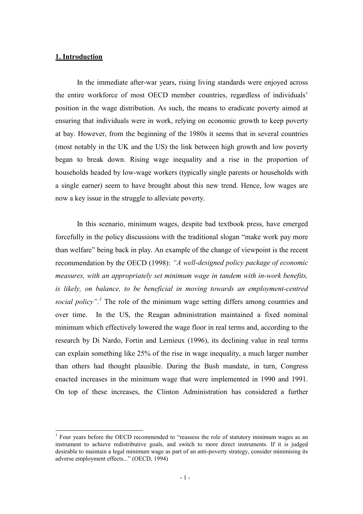#### **1. Introduction**

 $\overline{\phantom{a}}$ 

In the immediate after-war years, rising living standards were enjoyed across the entire workforce of most OECD member countries, regardless of individuals' position in the wage distribution. As such, the means to eradicate poverty aimed at ensuring that individuals were in work, relying on economic growth to keep poverty at bay. However, from the beginning of the 1980s it seems that in several countries (most notably in the UK and the US) the link between high growth and low poverty began to break down. Rising wage inequality and a rise in the proportion of households headed by low-wage workers (typically single parents or households with a single earner) seem to have brought about this new trend. Hence, low wages are now a key issue in the struggle to alleviate poverty.

In this scenario, minimum wages, despite bad textbook press, have emerged forcefully in the policy discussions with the traditional slogan "make work pay more than welfare" being back in play. An example of the change of viewpoint is the recent recommendation by the OECD (1998): *"A well-designed policy package of economic measures, with an appropriately set minimum wage in tandem with in-work benefits, is likely, on balance, to be beneficial in moving towards an employment-centred social policy".<sup>1</sup>* The role of the minimum wage setting differs among countries and over time. In the US, the Reagan administration maintained a fixed nominal minimum which effectively lowered the wage floor in real terms and, according to the research by Di Nardo, Fortin and Lemieux (1996), its declining value in real terms can explain something like 25% of the rise in wage inequality, a much larger number than others had thought plausible. During the Bush mandate, in turn, Congress enacted increases in the minimum wage that were implemented in 1990 and 1991. On top of these increases, the Clinton Administration has considered a further

 $1$  Four years before the OECD recommended to "reassess the role of statutory minimum wages as an instrument to achieve redistributive goals, and switch to more direct instruments. If it is judged desirable to maintain a legal minimum wage as part of an anti-poverty strategy, consider minimising its adverse employment effects..." (OECD, 1994)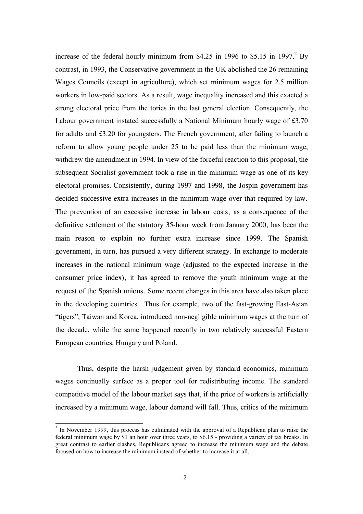increase of the federal hourly minimum from \$4.25 in 1996 to \$5.15 in 1997.<sup>2</sup> By contrast, in 1993, the Conservative government in the UK abolished the 26 remaining Wages Councils (except in agriculture), which set minimum wages for 2.5 million workers in low-paid sectors. As a result, wage inequality increased and this exacted a strong electoral price from the tories in the last general election. Consequently, the Labour government instated successfully a National Minimum hourly wage of £3.70 for adults and £3.20 for youngsters. The French government, after failing to launch a reform to allow young people under 25 to be paid less than the minimum wage, withdrew the amendment in 1994. In view of the forceful reaction to this proposal, the subsequent Socialist government took a rise in the minimum wage as one of its key electoral promises. Consistently, during 1997 and 1998, the Jospin government has decided successive extra increases in the minimum wage over that required by law. The prevention of an excessive increase in labour costs, as a consequence of the definitive settlement of the statutory 35-hour week from January 2000, has been the main reason to explain no further extra increase since 1999. The Spanish government, in turn, has pursued a very different strategy. In exchange to moderate increases in the national minimum wage (adjusted to the expected increase in the consumer price index), it has agreed to remove the youth minimum wage at the request of the Spanish unions. Some recent changes in this area have also taken place in the developing countries. Thus for example, two of the fast-growing East-Asian "tigers", Taiwan and Korea, introduced non-negligible minimum wages at the turn of the decade, while the same happened recently in two relatively successful Eastern European countries, Hungary and Poland.

Thus, despite the harsh judgement given by standard economics, minimum wages continually surface as a proper tool for redistributing income. The standard competitive model of the labour market says that, if the price of workers is artificially increased by a minimum wage, labour demand will fall. Thus, critics of the minimum

 $\overline{\phantom{a}}$ 

 $2<sup>2</sup>$  In November 1999, this process has culminated with the approval of a Republican plan to raise the federal minimum wage by \$1 an hour over three years, to \$6.15 - providing a variety of tax breaks. In great contrast to earlier clashes, Republicans agreed to increase the minimum wage and the debate focused on how to increase the minimum instead of whether to increase it at all.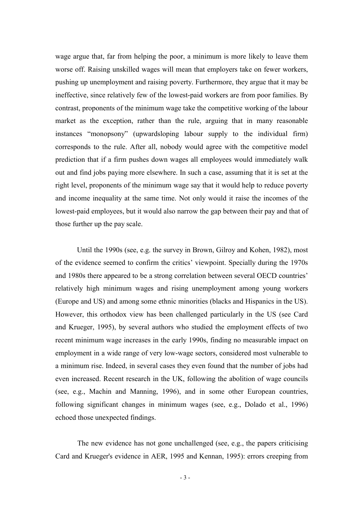wage argue that, far from helping the poor, a minimum is more likely to leave them worse off. Raising unskilled wages will mean that employers take on fewer workers, pushing up unemployment and raising poverty. Furthermore, they argue that it may be ineffective, since relatively few of the lowest-paid workers are from poor families. By contrast, proponents of the minimum wage take the competitive working of the labour market as the exception, rather than the rule, arguing that in many reasonable instances "monopsony" (upwardsloping labour supply to the individual firm) corresponds to the rule. After all, nobody would agree with the competitive model prediction that if a firm pushes down wages all employees would immediately walk out and find jobs paying more elsewhere. In such a case, assuming that it is set at the right level, proponents of the minimum wage say that it would help to reduce poverty and income inequality at the same time. Not only would it raise the incomes of the lowest-paid employees, but it would also narrow the gap between their pay and that of those further up the pay scale.

Until the 1990s (see, e.g. the survey in Brown, Gilroy and Kohen, 1982), most of the evidence seemed to confirm the critics' viewpoint. Specially during the 1970s and 1980s there appeared to be a strong correlation between several OECD countries' relatively high minimum wages and rising unemployment among young workers (Europe and US) and among some ethnic minorities (blacks and Hispanics in the US). However, this orthodox view has been challenged particularly in the US (see Card and Krueger, 1995), by several authors who studied the employment effects of two recent minimum wage increases in the early 1990s, finding no measurable impact on employment in a wide range of very low-wage sectors, considered most vulnerable to a minimum rise. Indeed, in several cases they even found that the number of jobs had even increased. Recent research in the UK, following the abolition of wage councils (see, e.g., Machin and Manning, 1996), and in some other European countries, following significant changes in minimum wages (see, e.g., Dolado et al., 1996) echoed those unexpected findings.

The new evidence has not gone unchallenged (see, e.g., the papers criticising Card and Krueger's evidence in AER, 1995 and Kennan, 1995): errors creeping from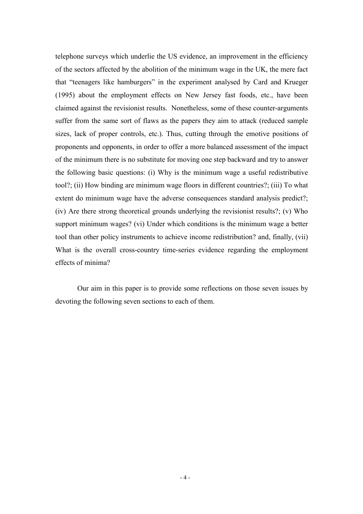telephone surveys which underlie the US evidence, an improvement in the efficiency of the sectors affected by the abolition of the minimum wage in the UK, the mere fact that "teenagers like hamburgers" in the experiment analysed by Card and Krueger (1995) about the employment effects on New Jersey fast foods, etc., have been claimed against the revisionist results. Nonetheless, some of these counter-arguments suffer from the same sort of flaws as the papers they aim to attack (reduced sample sizes, lack of proper controls, etc.). Thus, cutting through the emotive positions of proponents and opponents, in order to offer a more balanced assessment of the impact of the minimum there is no substitute for moving one step backward and try to answer the following basic questions: (i) Why is the minimum wage a useful redistributive tool?; (ii) How binding are minimum wage floors in different countries?; (iii) To what extent do minimum wage have the adverse consequences standard analysis predict?; (iv) Are there strong theoretical grounds underlying the revisionist results?; (v) Who support minimum wages? (vi) Under which conditions is the minimum wage a better tool than other policy instruments to achieve income redistribution? and, finally, (vii) What is the overall cross-country time-series evidence regarding the employment effects of minima?

Our aim in this paper is to provide some reflections on those seven issues by devoting the following seven sections to each of them.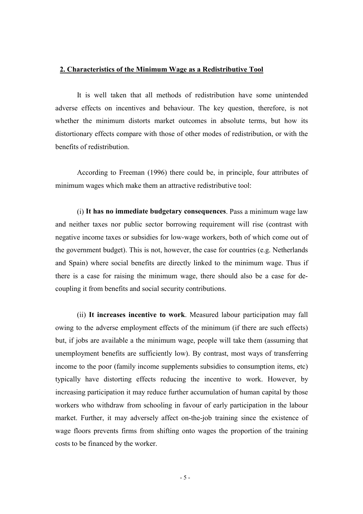#### **2. Characteristics of the Minimum Wage as a Redistributive Tool**

It is well taken that all methods of redistribution have some unintended adverse effects on incentives and behaviour. The key question, therefore, is not whether the minimum distorts market outcomes in absolute terms, but how its distortionary effects compare with those of other modes of redistribution, or with the benefits of redistribution.

According to Freeman (1996) there could be, in principle, four attributes of minimum wages which make them an attractive redistributive tool:

(i) **It has no immediate budgetary consequences**. Pass a minimum wage law and neither taxes nor public sector borrowing requirement will rise (contrast with negative income taxes or subsidies for low-wage workers, both of which come out of the government budget). This is not, however, the case for countries (e.g. Netherlands and Spain) where social benefits are directly linked to the minimum wage. Thus if there is a case for raising the minimum wage, there should also be a case for decoupling it from benefits and social security contributions.

(ii) **It increases incentive to work**. Measured labour participation may fall owing to the adverse employment effects of the minimum (if there are such effects) but, if jobs are available a the minimum wage, people will take them (assuming that unemployment benefits are sufficiently low). By contrast, most ways of transferring income to the poor (family income supplements subsidies to consumption items, etc) typically have distorting effects reducing the incentive to work. However, by increasing participation it may reduce further accumulation of human capital by those workers who withdraw from schooling in favour of early participation in the labour market. Further, it may adversely affect on-the-job training since the existence of wage floors prevents firms from shifting onto wages the proportion of the training costs to be financed by the worker.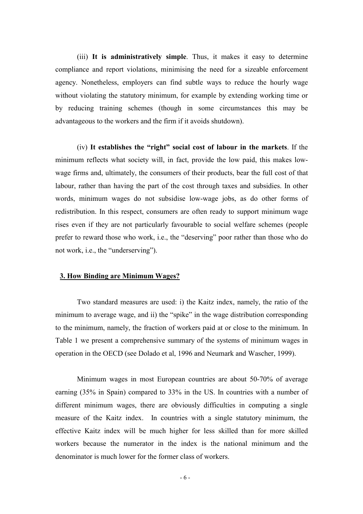(iii) **It is administratively simple**. Thus, it makes it easy to determine compliance and report violations, minimising the need for a sizeable enforcement agency. Nonetheless, employers can find subtle ways to reduce the hourly wage without violating the statutory minimum, for example by extending working time or by reducing training schemes (though in some circumstances this may be advantageous to the workers and the firm if it avoids shutdown).

(iv) **It establishes the "right" social cost of labour in the markets**. If the minimum reflects what society will, in fact, provide the low paid, this makes lowwage firms and, ultimately, the consumers of their products, bear the full cost of that labour, rather than having the part of the cost through taxes and subsidies. In other words, minimum wages do not subsidise low-wage jobs, as do other forms of redistribution. In this respect, consumers are often ready to support minimum wage rises even if they are not particularly favourable to social welfare schemes (people prefer to reward those who work, i.e., the "deserving" poor rather than those who do not work, i.e., the "underserving").

#### **3. How Binding are Minimum Wages?**

Two standard measures are used: i) the Kaitz index, namely, the ratio of the minimum to average wage, and ii) the "spike" in the wage distribution corresponding to the minimum, namely, the fraction of workers paid at or close to the minimum. In Table 1 we present a comprehensive summary of the systems of minimum wages in operation in the OECD (see Dolado et al, 1996 and Neumark and Wascher, 1999).

Minimum wages in most European countries are about 50-70% of average earning (35% in Spain) compared to 33% in the US. In countries with a number of different minimum wages, there are obviously difficulties in computing a single measure of the Kaitz index. In countries with a single statutory minimum, the effective Kaitz index will be much higher for less skilled than for more skilled workers because the numerator in the index is the national minimum and the denominator is much lower for the former class of workers.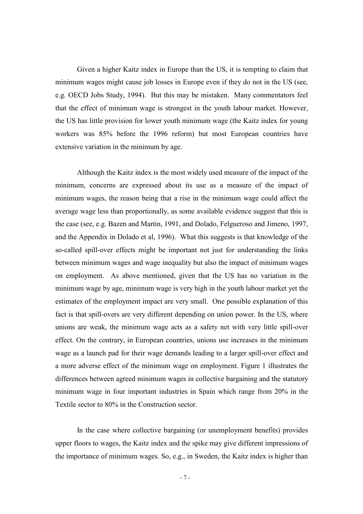Given a higher Kaitz index in Europe than the US, it is tempting to claim that minimum wages might cause job losses in Europe even if they do not in the US (see, e.g. OECD Jobs Study, 1994). But this may be mistaken. Many commentators feel that the effect of minimum wage is strongest in the youth labour market. However, the US has little provision for lower youth minimum wage (the Kaitz index for young workers was 85% before the 1996 reform) but most European countries have extensive variation in the minimum by age.

Although the Kaitz index is the most widely used measure of the impact of the minimum, concerns are expressed about its use as a measure of the impact of minimum wages, the reason being that a rise in the minimum wage could affect the average wage less than proportionally, as some available evidence suggest that this is the case (see, e.g. Bazen and Martin, 1991, and Dolado, Felgueroso and Jimeno, 1997, and the Appendix in Dolado et al, 1996). What this suggests is that knowledge of the so-called spill-over effects might be important not just for understanding the links between minimum wages and wage inequality but also the impact of minimum wages on employment. As above mentioned, given that the US has no variation in the minimum wage by age, minimum wage is very high in the youth labour market yet the estimates of the employment impact are very small. One possible explanation of this fact is that spill-overs are very different depending on union power. In the US, where unions are weak, the minimum wage acts as a safety net with very little spill-over effect. On the contrary, in European countries, unions use increases in the minimum wage as a launch pad for their wage demands leading to a larger spill-over effect and a more adverse effect of the minimum wage on employment. Figure 1 illustrates the differences between agreed minimum wages in collective bargaining and the statutory minimum wage in four important industries in Spain which range from 20% in the Textile sector to 80% in the Construction sector.

In the case where collective bargaining (or unemployment benefits) provides upper floors to wages, the Kaitz index and the spike may give different impressions of the importance of minimum wages. So, e.g., in Sweden, the Kaitz index is higher than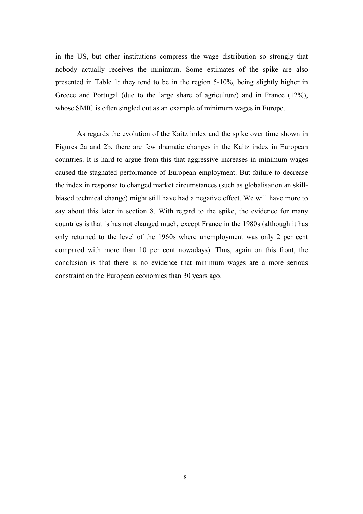in the US, but other institutions compress the wage distribution so strongly that nobody actually receives the minimum. Some estimates of the spike are also presented in Table 1: they tend to be in the region 5-10%, being slightly higher in Greece and Portugal (due to the large share of agriculture) and in France (12%), whose SMIC is often singled out as an example of minimum wages in Europe.

As regards the evolution of the Kaitz index and the spike over time shown in Figures 2a and 2b, there are few dramatic changes in the Kaitz index in European countries. It is hard to argue from this that aggressive increases in minimum wages caused the stagnated performance of European employment. But failure to decrease the index in response to changed market circumstances (such as globalisation an skillbiased technical change) might still have had a negative effect. We will have more to say about this later in section 8. With regard to the spike, the evidence for many countries is that is has not changed much, except France in the 1980s (although it has only returned to the level of the 1960s where unemployment was only 2 per cent compared with more than 10 per cent nowadays). Thus, again on this front, the conclusion is that there is no evidence that minimum wages are a more serious constraint on the European economies than 30 years ago.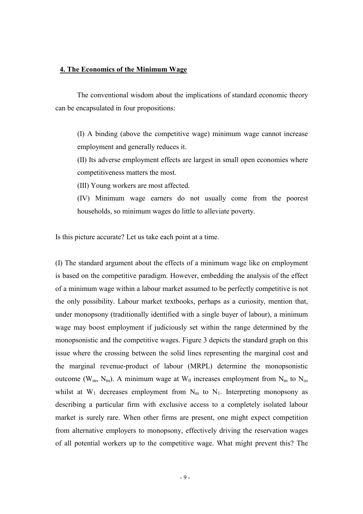#### **4. The Economics of the Minimum Wage**

The conventional wisdom about the implications of standard economic theory can be encapsulated in four propositions:

(I) A binding (above the competitive wage) minimum wage cannot increase employment and generally reduces it.

(II) Its adverse employment effects are largest in small open economies where competitiveness matters the most.

(III) Young workers are most affected.

(IV) Minimum wage earners do not usually come from the poorest households, so minimum wages do little to alleviate poverty.

Is this picture accurate? Let us take each point at a time.

(I) The standard argument about the effects of a minimum wage like on employment is based on the competitive paradigm. However, embedding the analysis of the effect of a minimum wage within a labour market assumed to be perfectly competitive is not the only possibility. Labour market textbooks, perhaps as a curiosity, mention that, under monopsony (traditionally identified with a single buyer of labour), a minimum wage may boost employment if judiciously set within the range determined by the monopsonistic and the competitive wages. Figure 3 depicts the standard graph on this issue where the crossing between the solid lines representing the marginal cost and the marginal revenue-product of labour (MRPL) determine the monopsonistic outcome (W<sub>m</sub>, N<sub>m</sub>). A minimum wage at W<sub>0</sub> increases employment from N<sub>m</sub> to N<sub>0</sub>, whilst at  $W_1$  decreases employment from  $N_m$  to  $N_1$ . Interpreting monopsony as describing a particular firm with exclusive access to a completely isolated labour market is surely rare. When other firms are present, one might expect competition from alternative employers to monopsony, effectively driving the reservation wages of all potential workers up to the competitive wage. What might prevent this? The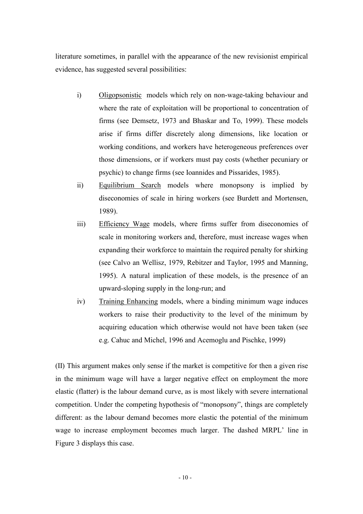literature sometimes, in parallel with the appearance of the new revisionist empirical evidence, has suggested several possibilities:

- i) Oligopsonistic models which rely on non-wage-taking behaviour and where the rate of exploitation will be proportional to concentration of firms (see Demsetz, 1973 and Bhaskar and To, 1999). These models arise if firms differ discretely along dimensions, like location or working conditions, and workers have heterogeneous preferences over those dimensions, or if workers must pay costs (whether pecuniary or psychic) to change firms (see Ioannides and Pissarides, 1985).
- ii) Equilibrium Search models where monopsony is implied by diseconomies of scale in hiring workers (see Burdett and Mortensen, 1989).
- iii) Efficiency Wage models, where firms suffer from diseconomies of scale in monitoring workers and, therefore, must increase wages when expanding their workforce to maintain the required penalty for shirking (see Calvo an Wellisz, 1979, Rebitzer and Taylor, 1995 and Manning, 1995). A natural implication of these models, is the presence of an upward-sloping supply in the long-run; and
- iv) Training Enhancing models, where a binding minimum wage induces workers to raise their productivity to the level of the minimum by acquiring education which otherwise would not have been taken (see e.g. Cahuc and Michel, 1996 and Acemoglu and Pischke, 1999)

(II) This argument makes only sense if the market is competitive for then a given rise in the minimum wage will have a larger negative effect on employment the more elastic (flatter) is the labour demand curve, as is most likely with severe international competition. Under the competing hypothesis of "monopsony", things are completely different: as the labour demand becomes more elastic the potential of the minimum wage to increase employment becomes much larger. The dashed MRPL' line in Figure 3 displays this case.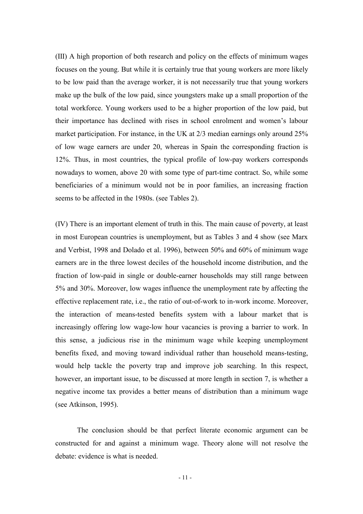(III) A high proportion of both research and policy on the effects of minimum wages focuses on the young. But while it is certainly true that young workers are more likely to be low paid than the average worker, it is not necessarily true that young workers make up the bulk of the low paid, since youngsters make up a small proportion of the total workforce. Young workers used to be a higher proportion of the low paid, but their importance has declined with rises in school enrolment and women's labour market participation. For instance, in the UK at 2/3 median earnings only around 25% of low wage earners are under 20, whereas in Spain the corresponding fraction is 12%. Thus, in most countries, the typical profile of low-pay workers corresponds nowadays to women, above 20 with some type of part-time contract. So, while some beneficiaries of a minimum would not be in poor families, an increasing fraction seems to be affected in the 1980s. (see Tables 2).

(IV) There is an important element of truth in this. The main cause of poverty, at least in most European countries is unemployment, but as Tables 3 and 4 show (see Marx and Verbist, 1998 and Dolado et al. 1996), between 50% and 60% of minimum wage earners are in the three lowest deciles of the household income distribution, and the fraction of low-paid in single or double-earner households may still range between 5% and 30%. Moreover, low wages influence the unemployment rate by affecting the effective replacement rate, i.e., the ratio of out-of-work to in-work income. Moreover, the interaction of means-tested benefits system with a labour market that is increasingly offering low wage-low hour vacancies is proving a barrier to work. In this sense, a judicious rise in the minimum wage while keeping unemployment benefits fixed, and moving toward individual rather than household means-testing, would help tackle the poverty trap and improve job searching. In this respect, however, an important issue, to be discussed at more length in section 7, is whether a negative income tax provides a better means of distribution than a minimum wage (see Atkinson, 1995).

The conclusion should be that perfect literate economic argument can be constructed for and against a minimum wage. Theory alone will not resolve the debate: evidence is what is needed.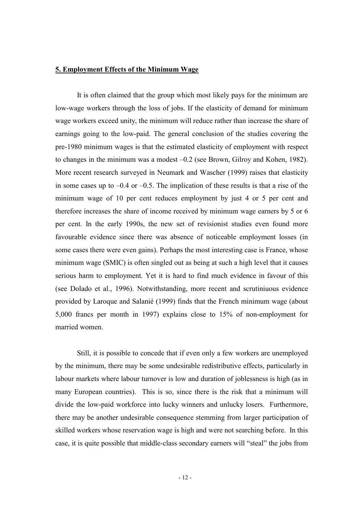#### **5. Employment Effects of the Minimum Wage**

It is often claimed that the group which most likely pays for the minimum are low-wage workers through the loss of jobs. If the elasticity of demand for minimum wage workers exceed unity, the minimum will reduce rather than increase the share of earnings going to the low-paid. The general conclusion of the studies covering the pre-1980 minimum wages is that the estimated elasticity of employment with respect to changes in the minimum was a modest –0.2 (see Brown, Gilroy and Kohen, 1982). More recent research surveyed in Neumark and Wascher (1999) raises that elasticity in some cases up to  $-0.4$  or  $-0.5$ . The implication of these results is that a rise of the minimum wage of 10 per cent reduces employment by just 4 or 5 per cent and therefore increases the share of income received by minimum wage earners by 5 or 6 per cent. In the early 1990s, the new set of revisionist studies even found more favourable evidence since there was absence of noticeable employment losses (in some cases there were even gains). Perhaps the most interesting case is France, whose minimum wage (SMIC) is often singled out as being at such a high level that it causes serious harm to employment. Yet it is hard to find much evidence in favour of this (see Dolado et al., 1996). Notwithstanding, more recent and scrutiniuous evidence provided by Laroque and Salanié (1999) finds that the French minimum wage (about 5,000 francs per month in 1997) explains close to 15% of non-employment for married women.

Still, it is possible to concede that if even only a few workers are unemployed by the minimum, there may be some undesirable redistributive effects, particularly in labour markets where labour turnover is low and duration of joblessness is high (as in many European countries). This is so, since there is the risk that a minimum will divide the low-paid workforce into lucky winners and unlucky losers. Furthermore, there may be another undesirable consequence stemming from larger participation of skilled workers whose reservation wage is high and were not searching before. In this case, it is quite possible that middle-class secondary earners will "steal" the jobs from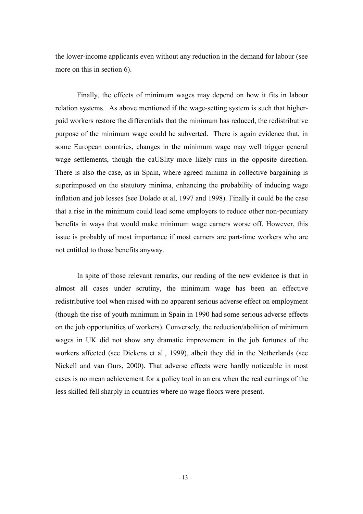the lower-income applicants even without any reduction in the demand for labour (see more on this in section 6).

Finally, the effects of minimum wages may depend on how it fits in labour relation systems. As above mentioned if the wage-setting system is such that higherpaid workers restore the differentials that the minimum has reduced, the redistributive purpose of the minimum wage could he subverted. There is again evidence that, in some European countries, changes in the minimum wage may well trigger general wage settlements, though the caUSlity more likely runs in the opposite direction. There is also the case, as in Spain, where agreed minima in collective bargaining is superimposed on the statutory minima, enhancing the probability of inducing wage inflation and job losses (see Dolado et al, 1997 and 1998). Finally it could be the case that a rise in the minimum could lead some employers to reduce other non-pecuniary benefits in ways that would make minimum wage earners worse off. However, this issue is probably of most importance if most earners are part-time workers who are not entitled to those benefits anyway.

In spite of those relevant remarks, our reading of the new evidence is that in almost all cases under scrutiny, the minimum wage has been an effective redistributive tool when raised with no apparent serious adverse effect on employment (though the rise of youth minimum in Spain in 1990 had some serious adverse effects on the job opportunities of workers). Conversely, the reduction/abolition of minimum wages in UK did not show any dramatic improvement in the job fortunes of the workers affected (see Dickens et al., 1999), albeit they did in the Netherlands (see Nickell and van Ours, 2000). That adverse effects were hardly noticeable in most cases is no mean achievement for a policy tool in an era when the real earnings of the less skilled fell sharply in countries where no wage floors were present.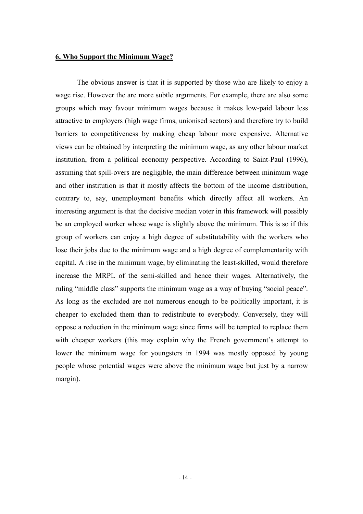#### **6. Who Support the Minimum Wage?**

The obvious answer is that it is supported by those who are likely to enjoy a wage rise. However the are more subtle arguments. For example, there are also some groups which may favour minimum wages because it makes low-paid labour less attractive to employers (high wage firms, unionised sectors) and therefore try to build barriers to competitiveness by making cheap labour more expensive. Alternative views can be obtained by interpreting the minimum wage, as any other labour market institution, from a political economy perspective. According to Saint-Paul (1996), assuming that spill-overs are negligible, the main difference between minimum wage and other institution is that it mostly affects the bottom of the income distribution, contrary to, say, unemployment benefits which directly affect all workers. An interesting argument is that the decisive median voter in this framework will possibly be an employed worker whose wage is slightly above the minimum. This is so if this group of workers can enjoy a high degree of substitutability with the workers who lose their jobs due to the minimum wage and a high degree of complementarity with capital. A rise in the minimum wage, by eliminating the least-skilled, would therefore increase the MRPL of the semi-skilled and hence their wages. Alternatively, the ruling "middle class" supports the minimum wage as a way of buying "social peace". As long as the excluded are not numerous enough to be politically important, it is cheaper to excluded them than to redistribute to everybody. Conversely, they will oppose a reduction in the minimum wage since firms will be tempted to replace them with cheaper workers (this may explain why the French government's attempt to lower the minimum wage for youngsters in 1994 was mostly opposed by young people whose potential wages were above the minimum wage but just by a narrow margin).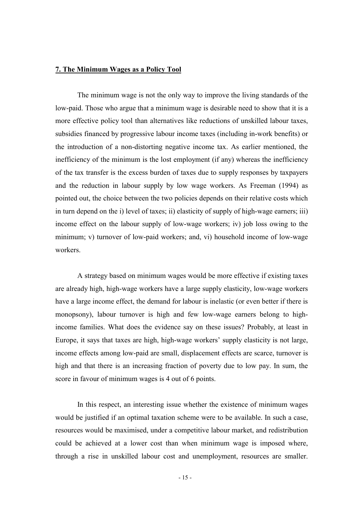#### **7. The Minimum Wages as a Policy Tool**

 The minimum wage is not the only way to improve the living standards of the low-paid. Those who argue that a minimum wage is desirable need to show that it is a more effective policy tool than alternatives like reductions of unskilled labour taxes, subsidies financed by progressive labour income taxes (including in-work benefits) or the introduction of a non-distorting negative income tax. As earlier mentioned, the inefficiency of the minimum is the lost employment (if any) whereas the inefficiency of the tax transfer is the excess burden of taxes due to supply responses by taxpayers and the reduction in labour supply by low wage workers. As Freeman (1994) as pointed out, the choice between the two policies depends on their relative costs which in turn depend on the i) level of taxes; ii) elasticity of supply of high-wage earners; iii) income effect on the labour supply of low-wage workers; iv) job loss owing to the minimum; v) turnover of low-paid workers; and, vi) household income of low-wage workers.

 A strategy based on minimum wages would be more effective if existing taxes are already high, high-wage workers have a large supply elasticity, low-wage workers have a large income effect, the demand for labour is inelastic (or even better if there is monopsony), labour turnover is high and few low-wage earners belong to highincome families. What does the evidence say on these issues? Probably, at least in Europe, it says that taxes are high, high-wage workers' supply elasticity is not large, income effects among low-paid are small, displacement effects are scarce, turnover is high and that there is an increasing fraction of poverty due to low pay. In sum, the score in favour of minimum wages is 4 out of 6 points.

 In this respect, an interesting issue whether the existence of minimum wages would be justified if an optimal taxation scheme were to be available. In such a case, resources would be maximised, under a competitive labour market, and redistribution could be achieved at a lower cost than when minimum wage is imposed where, through a rise in unskilled labour cost and unemployment, resources are smaller.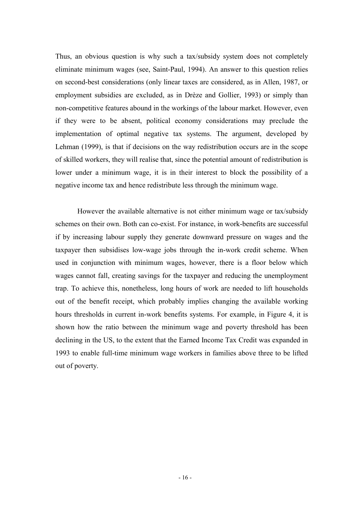Thus, an obvious question is why such a tax/subsidy system does not completely eliminate minimum wages (see, Saint-Paul, 1994). An answer to this question relies on second-best considerations (only linear taxes are considered, as in Allen, 1987, or employment subsidies are excluded, as in Drèze and Gollier, 1993) or simply than non-competitive features abound in the workings of the labour market. However, even if they were to be absent, political economy considerations may preclude the implementation of optimal negative tax systems. The argument, developed by Lehman (1999), is that if decisions on the way redistribution occurs are in the scope of skilled workers, they will realise that, since the potential amount of redistribution is lower under a minimum wage, it is in their interest to block the possibility of a negative income tax and hence redistribute less through the minimum wage.

 However the available alternative is not either minimum wage or tax/subsidy schemes on their own. Both can co-exist. For instance, in work-benefits are successful if by increasing labour supply they generate downward pressure on wages and the taxpayer then subsidises low-wage jobs through the in-work credit scheme. When used in conjunction with minimum wages, however, there is a floor below which wages cannot fall, creating savings for the taxpayer and reducing the unemployment trap. To achieve this, nonetheless, long hours of work are needed to lift households out of the benefit receipt, which probably implies changing the available working hours thresholds in current in-work benefits systems. For example, in Figure 4, it is shown how the ratio between the minimum wage and poverty threshold has been declining in the US, to the extent that the Earned Income Tax Credit was expanded in 1993 to enable full-time minimum wage workers in families above three to be lifted out of poverty.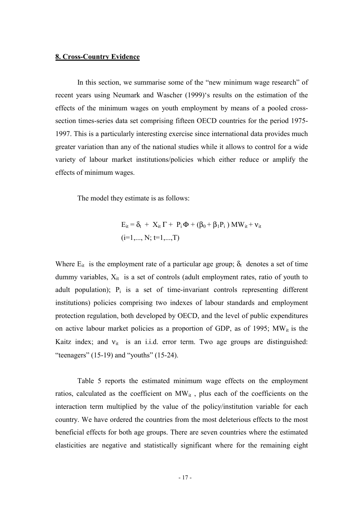#### **8. Cross-Country Evidence**

 In this section, we summarise some of the "new minimum wage research" of recent years using Neumark and Wascher (1999)'s results on the estimation of the effects of the minimum wages on youth employment by means of a pooled crosssection times-series data set comprising fifteen OECD countries for the period 1975- 1997. This is a particularly interesting exercise since international data provides much greater variation than any of the national studies while it allows to control for a wide variety of labour market institutions/policies which either reduce or amplify the effects of minimum wages.

The model they estimate is as follows:

$$
E_{it} = \delta_t + X_{it} \Gamma + P_i \Phi + (\beta_0 + \beta_1 P_i) MW_{it} + v_{it}
$$
  
(i=1,..., N; t=1,..., T)

Where  $E_{it}$  is the employment rate of a particular age group;  $\delta_t$  denotes a set of time dummy variables,  $X_{it}$  is a set of controls (adult employment rates, ratio of youth to adult population);  $P_i$  is a set of time-invariant controls representing different institutions) policies comprising two indexes of labour standards and employment protection regulation, both developed by OECD, and the level of public expenditures on active labour market policies as a proportion of GDP, as of 1995;  $MW_{it}$  is the Kaitz index; and  $v_{it}$  is an i.i.d. error term. Two age groups are distinguished: "teenagers"  $(15-19)$  and "youths"  $(15-24)$ .

 Table 5 reports the estimated minimum wage effects on the employment ratios, calculated as the coefficient on  $MW_{it}$ , plus each of the coefficients on the interaction term multiplied by the value of the policy/institution variable for each country. We have ordered the countries from the most deleterious effects to the most beneficial effects for both age groups. There are seven countries where the estimated elasticities are negative and statistically significant where for the remaining eight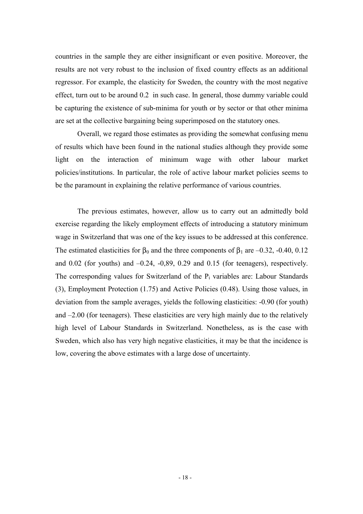countries in the sample they are either insignificant or even positive. Moreover, the results are not very robust to the inclusion of fixed country effects as an additional regressor. For example, the elasticity for Sweden, the country with the most negative effect, turn out to be around 0.2 in such case. In general, those dummy variable could be capturing the existence of sub-minima for youth or by sector or that other minima are set at the collective bargaining being superimposed on the statutory ones.

 Overall, we regard those estimates as providing the somewhat confusing menu of results which have been found in the national studies although they provide some light on the interaction of minimum wage with other labour market policies/institutions. In particular, the role of active labour market policies seems to be the paramount in explaining the relative performance of various countries.

 The previous estimates, however, allow us to carry out an admittedly bold exercise regarding the likely employment effects of introducing a statutory minimum wage in Switzerland that was one of the key issues to be addressed at this conference. The estimated elasticities for  $\beta_0$  and the three components of  $\beta_1$  are –0.32, -0.40, 0.12 and 0.02 (for youths) and –0.24, -0,89, 0.29 and 0.15 (for teenagers), respectively. The corresponding values for Switzerland of the  $P_i$  variables are: Labour Standards (3), Employment Protection (1.75) and Active Policies (0.48). Using those values, in deviation from the sample averages, yields the following elasticities: -0.90 (for youth) and  $-2.00$  (for teenagers). These elasticities are very high mainly due to the relatively high level of Labour Standards in Switzerland. Nonetheless, as is the case with Sweden, which also has very high negative elasticities, it may be that the incidence is low, covering the above estimates with a large dose of uncertainty.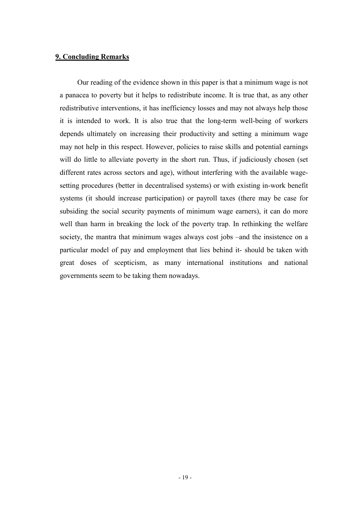#### **9. Concluding Remarks**

 Our reading of the evidence shown in this paper is that a minimum wage is not a panacea to poverty but it helps to redistribute income. It is true that, as any other redistributive interventions, it has inefficiency losses and may not always help those it is intended to work. It is also true that the long-term well-being of workers depends ultimately on increasing their productivity and setting a minimum wage may not help in this respect. However, policies to raise skills and potential earnings will do little to alleviate poverty in the short run. Thus, if judiciously chosen (set different rates across sectors and age), without interfering with the available wagesetting procedures (better in decentralised systems) or with existing in-work benefit systems (it should increase participation) or payroll taxes (there may be case for subsiding the social security payments of minimum wage earners), it can do more well than harm in breaking the lock of the poverty trap. In rethinking the welfare society, the mantra that minimum wages always cost jobs –and the insistence on a particular model of pay and employment that lies behind it- should be taken with great doses of scepticism, as many international institutions and national governments seem to be taking them nowadays.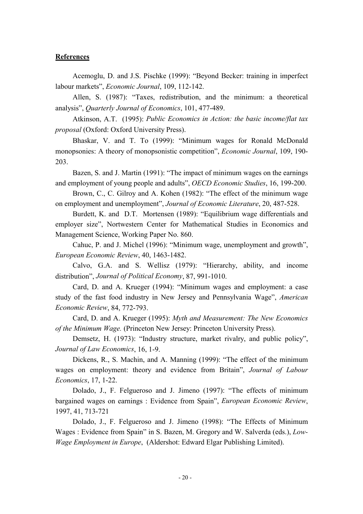#### **References**

Acemoglu, D. and J.S. Pischke (1999): "Beyond Becker: training in imperfect labour markets", *Economic Journal*, 109, 112-142.

Allen, S. (1987): "Taxes, redistribution, and the minimum: a theoretical analysis", *Quarterly Journal of Economics*, 101, 477-489.

Atkinson, A.T. (1995): *Public Economics in Action: the basic income/flat tax proposal* (Oxford: Oxford University Press).

Bhaskar, V. and T. To (1999): "Minimum wages for Ronald McDonald monopsonies: A theory of monopsonistic competition", *Economic Journal*, 109, 190- 203.

Bazen, S. and J. Martin (1991): "The impact of minimum wages on the earnings and employment of young people and adults", *OECD Economic Studies*, 16, 199-200.

Brown, C., C. Gilroy and A. Kohen (1982): "The effect of the minimum wage on employment and unemployment", *Journal of Economic Literature*, 20, 487-528.

Burdett, K. and D.T. Mortensen (1989): "Equilibrium wage differentials and employer size", Nortwestern Center for Mathematical Studies in Economics and Management Science, Working Paper No. 860.

Cahuc, P. and J. Michel (1996): "Minimum wage, unemployment and growth", *European Economic Review*, 40, 1463-1482.

Calvo, G.A. and S. Wellisz (1979): "Hierarchy, ability, and income distribution", *Journal of Political Economy*, 87, 991-1010.

Card, D. and A. Krueger (1994): "Minimum wages and employment: a case study of the fast food industry in New Jersey and Pennsylvania Wage", *American Economic Review*, 84, 772-793.

Card, D. and A. Krueger (1995): *Myth and Measurement: The New Economics of the Minimum Wage.* (Princeton New Jersey: Princeton University Press).

Demsetz, H. (1973): "Industry structure, market rivalry, and public policy", *Journal of Law Economics*, 16, 1-9.

Dickens, R., S. Machin, and A. Manning (1999): "The effect of the minimum wages on employment: theory and evidence from Britain", *Journal of Labour Economics*, 17, 1-22.

Dolado, J., F. Felgueroso and J. Jimeno (1997): "The effects of minimum bargained wages on earnings : Evidence from Spain", *European Economic Review*, 1997, 41, 713-721

Dolado, J., F. Felgueroso and J. Jimeno (1998): "The Effects of Minimum Wages : Evidence from Spain" in S. Bazen, M. Gregory and W. Salverda (eds.), *Low-Wage Employment in Europe*, (Aldershot: Edward Elgar Publishing Limited).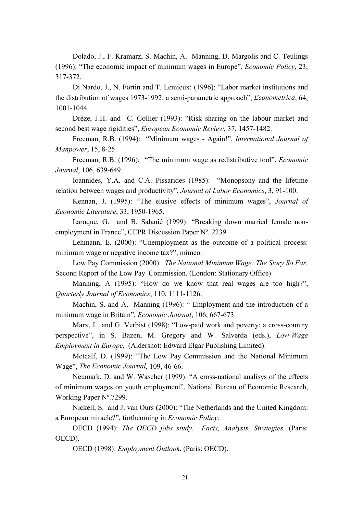Dolado, J., F. Kramarz, S. Machin, A. Manning, D. Margolis and C. Teulings (1996): "The economic impact of minimum wages in Europe", *Economic Policy*, 23, 317-372.

Di Nardo, J., N. Fortin and T. Lemieux: (1996): "Labor market institutions and the distribution of wages 1973-1992: a semi-parametric approach", *Econometrica*, 64, 1001-1044.

Drèze, J.H. and C. Gollier (1993): "Risk sharing on the labour market and second best wage rigidities", *European Economic Review*, 37, 1457-1482.

Freeman, R.B. (1994): "Minimum wages - Again!", *International Journal of Manpower*, 15, 8-25.

Freeman, R.B. (1996): "The minimum wage as redistributive tool", *Economic Journal*, 106, 639-649.

Ioannides, Y.A. and C.A. Pissarides (1985): "Monopsony and the lifetime relation between wages and productivity", *Journal of Labor Economics*, 3, 91-100.

Kennan, J. (1995): "The elusive effects of minimum wages", *Journal of Economic Literature*, 33, 1950-1965.

Laroque, G. and B. Salanié (1999): "Breaking down married female nonemployment in France", CEPR Discussion Paper Nº. 2239.

Lehmann, E. (2000): "Unemployment as the outcome of a political process: minimum wage or negative income tax?", mimeo.

Low Pay Commission (2000): *The National Minimum Wage: The Story So Far.*  Second Report of the Low Pay Commission. (London: Stationary Office)

Manning, A (1995): "How do we know that real wages are too high?", *Quarterly Journal of Economics*, 110, 1111-1126.

Machin, S. and A. Manning (1996): " Employment and the introduction of a minimum wage in Britain", *Economic Journal*, 106, 667-673.

Marx, I. and G. Verbist (1998): "Low-paid work and poverty: a cross-country perspective", in S. Bazen, M. Gregory and W. Salverda (eds.), *Low-Wage Employment in Europe*, (Aldershot: Edward Elgar Publishing Limited).

Metcalf, D. (1999): "The Low Pay Commission and the National Minimum Wage", *The Economic Journal*, 109, 46-66.

Neumark, D. and W. Wascher (1999): "A cross-national analisys of the effects of minimum wages on youth employment", National Bureau of Economic Research, Working Paper Nº.7299.

Nickell, S. and J. van Ours (2000): "The Netherlands and the United Kingdom: a European miracle?", forthcoming in *Economic Policy*.

OECD (1994): *The OECD jobs study. Facts, Analysis, Strategies.* (Paris: OECD).

OECD (1998): *Employment Outlook*. (Paris: OECD).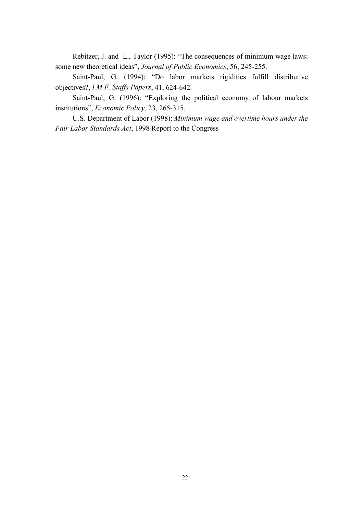Rebitzer, J. and L., Taylor (1995): "The consequences of minimum wage laws: some new theoretical ideas", *Journal of Public Economics*, 56, 245-255.

Saint-Paul, G. (1994): "Do labor markets rigidities fulfill distributive objectives?, *I.M.F. Staffs Papers*, 41, 624-642.

Saint-Paul, G. (1996): "Exploring the political economy of labour markets institutions", *Economic Policy*, 23, 265-315.

U.S. Department of Labor (1998): *Minimum wage and overtime hours under the Fair Labor Standards Act*, 1998 Report to the Congress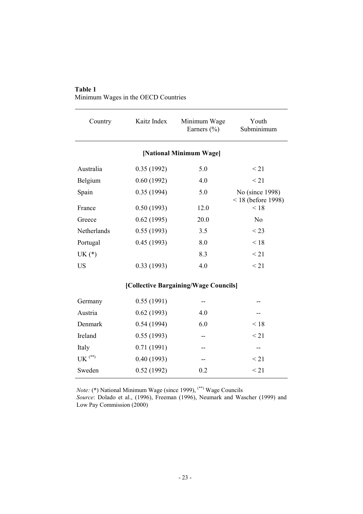#### **Table 1**

Minimum Wages in the OECD Countries

| Country                                | Kaitz Index | Minimum Wage<br>Earners $(\% )$       | Youth<br>Subminimum          |
|----------------------------------------|-------------|---------------------------------------|------------------------------|
|                                        |             | [National Minimum Wage]               |                              |
| Australia                              | 0.35(1992)  | 5.0                                   | < 21                         |
| Belgium                                | 0.60(1992)  | 4.0                                   | < 21                         |
| Spain                                  | 0.35(1994)  | 5.0                                   | No (since 1998)              |
| France                                 | 0.50(1993)  | 12.0                                  | $< 18$ (before 1998)<br>< 18 |
| Greece                                 | 0.62(1995)  | 20.0                                  | N <sub>0</sub>               |
| Netherlands                            | 0.55(1993)  | 3.5                                   | $<$ 23                       |
| Portugal                               | 0.45(1993)  | 8.0                                   | < 18                         |
| $UK(*)$                                |             | 8.3                                   | < 21                         |
| <b>US</b>                              | 0.33(1993)  | 4.0                                   | $\leq$ 21                    |
|                                        |             | [Collective Bargaining/Wage Councils] |                              |
| Germany                                | 0.55(1991)  | --                                    |                              |
| Austria                                | 0.62(1993)  | 4.0                                   |                              |
| Denmark                                | 0.54(1994)  | 6.0                                   | < 18                         |
| Ireland                                | 0.55(1993)  | --                                    | $\leq$ 21                    |
| Italy                                  | 0.71(1991)  |                                       | --                           |
| $\mathrm{UK}$ $\mathrm{^{(\ast\ast)}}$ | 0.40(1993)  |                                       | $\leq$ 21                    |
| Sweden                                 | 0.52(1992)  | 0.2                                   | $\leq$ 21                    |

*Note:* (\*) National Minimum Wage (since 1999), (\*\*) Wage Councils *Source*: Dolado et al., (1996), Freeman (1996), Neumark and Wascher (1999) and

Low Pay Commission (2000)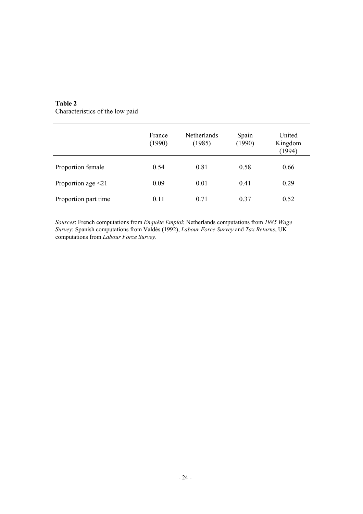| Table 2 |  |
|---------|--|
|         |  |

Characteristics of the low paid

|                          | France<br>(1990) | <b>Netherlands</b><br>(1985) | Spain<br>(1990) | United<br>Kingdom<br>(1994) |
|--------------------------|------------------|------------------------------|-----------------|-----------------------------|
| Proportion female        | 0.54             | 0.81                         | 0.58            | 0.66                        |
| Proportion age $\leq 21$ | 0.09             | 0.01                         | 0.41            | 0.29                        |
| Proportion part time     | 0.11             | 0.71                         | 0.37            | 0.52                        |

*Sources*: French computations from *Enquête Emploi*; Netherlands computations from *1985 Wage Survey*; Spanish computations from Valdés (1992), *Labour Force Survey* and *Tax Returns*, UK computations from *Labour Force Survey*.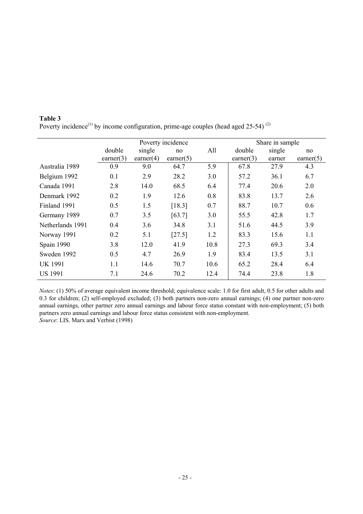|                  |              |              | Poverty incidence |      |              | Share in sample |                    |
|------------------|--------------|--------------|-------------------|------|--------------|-----------------|--------------------|
|                  | double       | single       | no                | All  | double       | single          | no                 |
|                  | earner $(3)$ | earner $(4)$ | earner $(5)$      |      | earner $(3)$ | earner          | $\text{earner}(5)$ |
| Australia 1989   | 0.9          | 9.0          | 64.7              | 5.9  | 67.8         | 27.9            | 4.3                |
| Belgium 1992     | 0.1          | 2.9          | 28.2              | 3.0  | 57.2         | 36.1            | 6.7                |
| Canada 1991      | 2.8          | 14.0         | 68.5              | 6.4  | 77.4         | 20.6            | 2.0                |
| Denmark 1992     | 0.2          | 1.9          | 12.6              | 0.8  | 83.8         | 13.7            | 2.6                |
| Finland 1991     | 0.5          | 1.5          | [18.3]            | 0.7  | 88.7         | 10.7            | 0.6                |
| Germany 1989     | 0.7          | 3.5          | [63.7]            | 3.0  | 55.5         | 42.8            | 1.7                |
| Netherlands 1991 | 0.4          | 3.6          | 34.8              | 3.1  | 51.6         | 44.5            | 3.9                |
| Norway 1991      | 0.2          | 5.1          | [27.5]            | 1.2  | 83.3         | 15.6            | 1.1                |
| Spain 1990       | 3.8          | 12.0         | 41.9              | 10.8 | 27.3         | 69.3            | 3.4                |
| Sweden 1992      | 0.5          | 4.7          | 26.9              | 1.9  | 83.4         | 13.5            | 3.1                |
| <b>UK 1991</b>   | 1.1          | 14.6         | 70.7              | 10.6 | 65.2         | 28.4            | 6.4                |
| <b>US 1991</b>   | 7.1          | 24.6         | 70.2              | 12.4 | 74.4         | 23.8            | 1.8                |

**Table 3**  Poverty incidence<sup>(1)</sup> by income configuration, prime-age couples (head aged 25-54)<sup>(2)</sup>

*Notes*: (1) 50% of average equivalent income threshold; equivalence scale: 1.0 for first adult, 0.5 for other adults and 0.3 for children; (2) self-employed excluded; (3) both partners non-zero annual earnings; (4) one partner non-zero annual earnings, other partner zero annual earnings and labour force status constant with non-employment; (5) both partners zero annual earnings and labour force status consistent with non-employment. *Source*: LIS. Marx and Verbist (1998)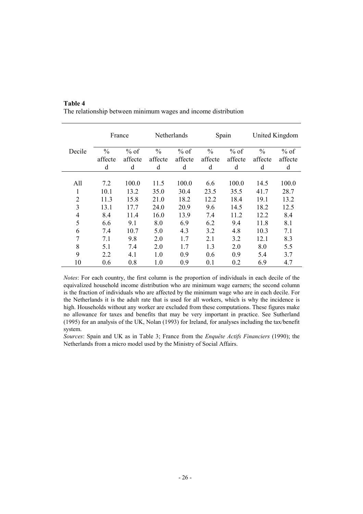|                |               | France  |               | <b>Netherlands</b> |               | Spain   |               | United Kingdom |
|----------------|---------------|---------|---------------|--------------------|---------------|---------|---------------|----------------|
| Decile         | $\frac{0}{0}$ | $%$ of  | $\frac{0}{0}$ | $%$ of             | $\frac{0}{0}$ | $%$ of  | $\frac{0}{0}$ | $%$ of         |
|                | affecte       | affecte | affecte       | affecte            | affecte       | affecte | affecte       | affecte        |
|                | d             | d       | d             | d                  | d             | d       | d             | d              |
|                |               |         |               |                    |               |         |               |                |
| All            | 7.2           | 100.0   | 11.5          | 100.0              | 6.6           | 100.0   | 14.5          | 100.0          |
| 1              | 10.1          | 13.2    | 35.0          | 30.4               | 23.5          | 35.5    | 41.7          | 28.7           |
| $\overline{2}$ | 11.3          | 15.8    | 21.0          | 18.2               | 12.2          | 18.4    | 19.1          | 13.2           |
| 3              | 13.1          | 17.7    | 24.0          | 20.9               | 9.6           | 14.5    | 18.2          | 12.5           |
| 4              | 8.4           | 11.4    | 16.0          | 13.9               | 7.4           | 11.2    | 12.2          | 8.4            |
| 5              | 6.6           | 9.1     | 8.0           | 6.9                | 6.2           | 9.4     | 11.8          | 8.1            |
| 6              | 7.4           | 10.7    | 5.0           | 4.3                | 3.2           | 4.8     | 10.3          | 7.1            |
| 7              | 7.1           | 9.8     | 2.0           | 1.7                | 2.1           | 3.2     | 12.1          | 8.3            |
| 8              | 5.1           | 7.4     | 2.0           | 1.7                | 1.3           | 2.0     | 8.0           | 5.5            |
| 9              | 2.2           | 4.1     | 1.0           | 0.9                | 0.6           | 0.9     | 5.4           | 3.7            |
| 10             | 0.6           | 0.8     | 1.0           | 0.9                | 0.1           | 0.2     | 6.9           | 4.7            |

#### **Table 4**  The relationship between minimum wages and income distribution

*Notes*: For each country, the first column is the proportion of individuals in each decile of the equivalized household income distribution who are minimum wage earners; the second column is the fraction of individuals who are affected by the minimum wage who are in each decile. For the Netherlands it is the adult rate that is used for all workers, which is why the incidence is high. Households without any worker are excluded from these computations. These figures make no allowance for taxes and benefits that may be very important in practice. See Sutherland (1995) for an analysis of the UK, Nolan (1993) for Ireland, for analyses including the tax/benefit system.

*Sources*: Spain and UK as in Table 3; France from the *Enquête Actifs Financiers* (1990); the Netherlands from a micro model used by the Ministry of Social Affairs.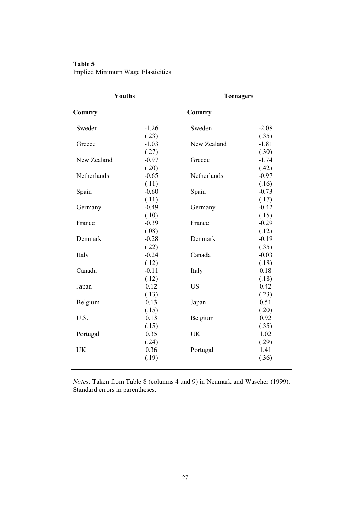| Table 5                                  |  |
|------------------------------------------|--|
| <b>Implied Minimum Wage Elasticities</b> |  |

| Youths      |         | <b>Teenagers</b> |         |
|-------------|---------|------------------|---------|
| Country     |         | Country          |         |
| Sweden      | $-1.26$ | Sweden           | $-2.08$ |
|             | (.23)   |                  | (.35)   |
| Greece      | $-1.03$ | New Zealand      | $-1.81$ |
|             | (.27)   |                  | (.30)   |
| New Zealand | $-0.97$ | Greece           | $-1.74$ |
|             | (.20)   |                  | (.42)   |
| Netherlands | $-0.65$ | Netherlands      | $-0.97$ |
|             | (.11)   |                  | (.16)   |
| Spain       | $-0.60$ | Spain            | $-0.73$ |
|             | (.11)   |                  | (.17)   |
| Germany     | $-0.49$ | Germany          | $-0.42$ |
|             | (.10)   |                  | (.15)   |
| France      | $-0.39$ | France           | $-0.29$ |
|             | (.08)   |                  | (.12)   |
| Denmark     | $-0.28$ | Denmark          | $-0.19$ |
|             | (.22)   |                  | (.35)   |
| Italy       | $-0.24$ | Canada           | $-0.03$ |
|             | (.12)   |                  | (.18)   |
| Canada      | $-0.11$ | Italy            | 0.18    |
|             | (.12)   |                  | (.18)   |
| Japan       | 0.12    | <b>US</b>        | 0.42    |
|             | (.13)   |                  | (.23)   |
| Belgium     | 0.13    | Japan            | 0.51    |
|             | (.15)   |                  | (.20)   |
| U.S.        | 0.13    | Belgium          | 0.92    |
|             | (.15)   |                  | (.35)   |
| Portugal    | 0.35    | <b>UK</b>        | 1.02    |
|             | (.24)   |                  | (.29)   |
| <b>UK</b>   | 0.36    | Portugal         | 1.41    |
|             | (.19)   |                  | (.36)   |
|             |         |                  |         |

*Notes*: Taken from Table 8 (columns 4 and 9) in Neumark and Wascher (1999). Standard errors in parentheses.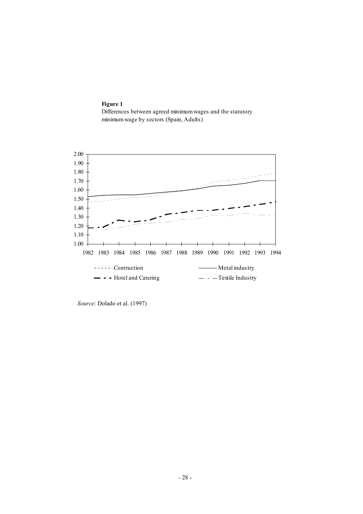**Figure 1**  Differences between agreed minimum wages and the statutory minimum wage by sectors (Spain, Adults)



 *Source*: Dolado et al. (1997)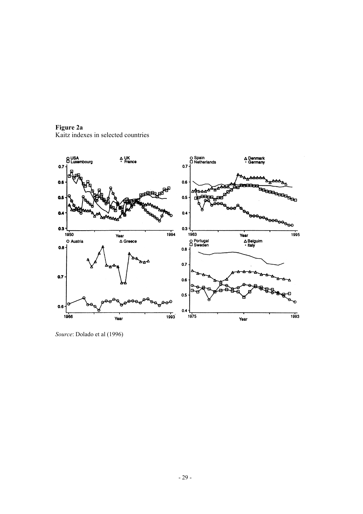**Figure 2a**  Kaitz indexes in selected countries



*Source*: Dolado et al (1996)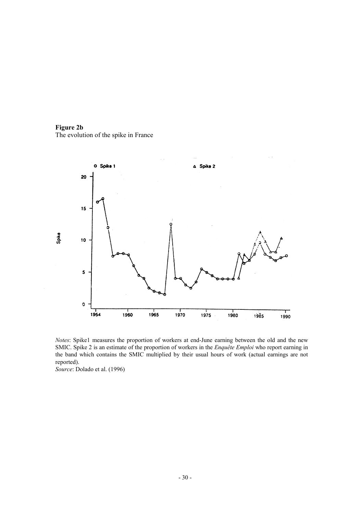**Figure 2b**  The evolution of the spike in France



*Notes*: Spike1 measures the proportion of workers at end-June earning between the old and the new SMIC. Spike 2 is an estimate of the proportion of workers in the *Enquête Emploi* who report earning in the band which contains the SMIC multiplied by their usual hours of work (actual earnings are not reported).

*Source*: Dolado et al. (1996)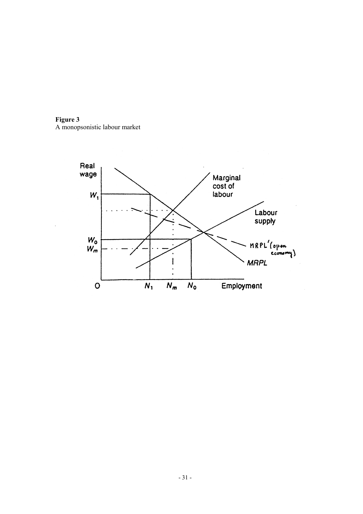

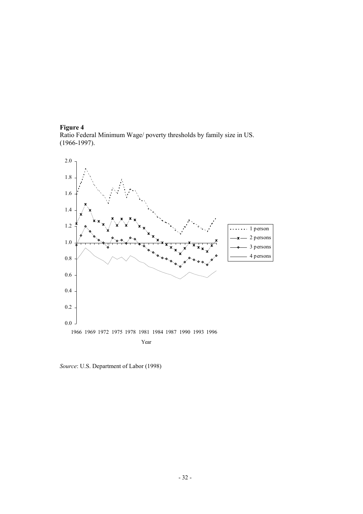#### **Figure 4**  Ratio Federal Minimum Wage/ poverty thresholds by family size in US. (1966-1997).



 *Source*: U.S. Department of Labor (1998)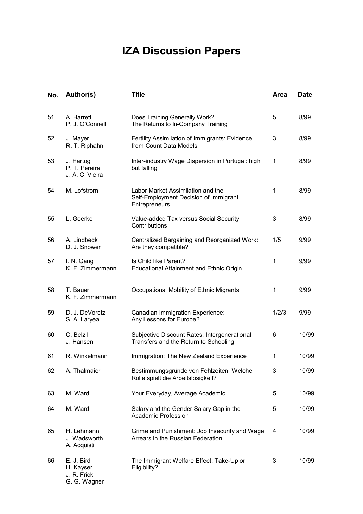# **IZA Discussion Papers**

| No. | Author(s)                                              | <b>Title</b>                                                                                | <b>Area</b>  | <b>Date</b> |
|-----|--------------------------------------------------------|---------------------------------------------------------------------------------------------|--------------|-------------|
| 51  | A. Barrett<br>P. J. O'Connell                          | Does Training Generally Work?<br>The Returns to In-Company Training                         | 5            | 8/99        |
| 52  | J. Mayer<br>R. T. Riphahn                              | Fertility Assimilation of Immigrants: Evidence<br>from Count Data Models                    | 3            | 8/99        |
| 53  | J. Hartog<br>P. T. Pereira<br>J. A. C. Vieira          | Inter-industry Wage Dispersion in Portugal: high<br>but falling                             | 1            | 8/99        |
| 54  | M. Lofstrom                                            | Labor Market Assimilation and the<br>Self-Employment Decision of Immigrant<br>Entrepreneurs | $\mathbf{1}$ | 8/99        |
| 55  | L. Goerke                                              | Value-added Tax versus Social Security<br>Contributions                                     | 3            | 8/99        |
| 56  | A. Lindbeck<br>D. J. Snower                            | Centralized Bargaining and Reorganized Work:<br>Are they compatible?                        | 1/5          | 9/99        |
| 57  | I. N. Gang<br>K. F. Zimmermann                         | Is Child like Parent?<br><b>Educational Attainment and Ethnic Origin</b>                    | $\mathbf{1}$ | 9/99        |
| 58  | T. Bauer<br>K. F. Zimmermann                           | Occupational Mobility of Ethnic Migrants                                                    | $\mathbf{1}$ | 9/99        |
| 59  | D. J. DeVoretz<br>S. A. Laryea                         | Canadian Immigration Experience:<br>Any Lessons for Europe?                                 | 1/2/3        | 9/99        |
| 60  | C. Belzil<br>J. Hansen                                 | Subjective Discount Rates, Intergenerational<br>Transfers and the Return to Schooling       | 6            | 10/99       |
| 61  | R. Winkelmann                                          | Immigration: The New Zealand Experience                                                     | 1            | 10/99       |
| 62  | A. Thalmaier                                           | Bestimmungsgründe von Fehlzeiten: Welche<br>Rolle spielt die Arbeitslosigkeit?              | 3            | 10/99       |
| 63  | M. Ward                                                | Your Everyday, Average Academic                                                             | 5            | 10/99       |
| 64  | M. Ward                                                | Salary and the Gender Salary Gap in the<br><b>Academic Profession</b>                       | 5            | 10/99       |
| 65  | H. Lehmann<br>J. Wadsworth<br>A. Acquisti              | Grime and Punishment: Job Insecurity and Wage<br>Arrears in the Russian Federation          | 4            | 10/99       |
| 66  | E. J. Bird<br>H. Kayser<br>J. R. Frick<br>G. G. Wagner | The Immigrant Welfare Effect: Take-Up or<br>Eligibility?                                    | 3            | 10/99       |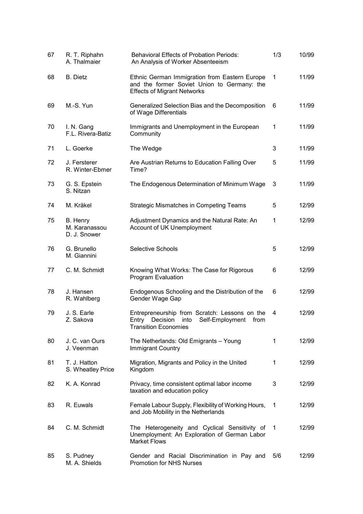| 67 | R. T. Riphahn<br>A. Thalmaier             | <b>Behavioral Effects of Probation Periods:</b><br>An Analysis of Worker Absenteeism                                                 | 1/3 | 10/99 |
|----|-------------------------------------------|--------------------------------------------------------------------------------------------------------------------------------------|-----|-------|
| 68 | <b>B.</b> Dietz                           | Ethnic German Immigration from Eastern Europe<br>and the former Soviet Union to Germany: the<br><b>Effects of Migrant Networks</b>   | 1   | 11/99 |
| 69 | M.-S. Yun                                 | Generalized Selection Bias and the Decomposition<br>of Wage Differentials                                                            | 6   | 11/99 |
| 70 | I. N. Gang<br>F.L. Rivera-Batiz           | Immigrants and Unemployment in the European<br>Community                                                                             | 1   | 11/99 |
| 71 | L. Goerke                                 | The Wedge                                                                                                                            | 3   | 11/99 |
| 72 | J. Fersterer<br>R. Winter-Ebmer           | Are Austrian Returns to Education Falling Over<br>Time?                                                                              | 5   | 11/99 |
| 73 | G. S. Epstein<br>S. Nitzan                | The Endogenous Determination of Minimum Wage                                                                                         | 3   | 11/99 |
| 74 | M. Kräkel                                 | <b>Strategic Mismatches in Competing Teams</b>                                                                                       | 5   | 12/99 |
| 75 | B. Henry<br>M. Karanassou<br>D. J. Snower | Adjustment Dynamics and the Natural Rate: An<br>Account of UK Unemployment                                                           | 1   | 12/99 |
| 76 | G. Brunello<br>M. Giannini                | <b>Selective Schools</b>                                                                                                             | 5   | 12/99 |
| 77 | C. M. Schmidt                             | Knowing What Works: The Case for Rigorous<br><b>Program Evaluation</b>                                                               | 6   | 12/99 |
| 78 | J. Hansen<br>R. Wahlberg                  | Endogenous Schooling and the Distribution of the<br>Gender Wage Gap                                                                  | 6   | 12/99 |
| 79 | J. S. Earle<br>Z. Sakova                  | Entrepreneurship from Scratch: Lessons on the<br>Self-Employment<br>Decision<br>into<br>from<br>Entry<br><b>Transition Economies</b> | 4   | 12/99 |
| 80 | J. C. van Ours<br>J. Veenman              | The Netherlands: Old Emigrants - Young<br><b>Immigrant Country</b>                                                                   | 1   | 12/99 |
| 81 | T. J. Hatton<br>S. Wheatley Price         | Migration, Migrants and Policy in the United<br>Kingdom                                                                              | 1   | 12/99 |
| 82 | K. A. Konrad                              | Privacy, time consistent optimal labor income<br>taxation and education policy                                                       | 3   | 12/99 |
| 83 | R. Euwals                                 | Female Labour Supply, Flexibility of Working Hours,<br>and Job Mobility in the Netherlands                                           | 1   | 12/99 |
| 84 | C. M. Schmidt                             | The Heterogeneity and Cyclical Sensitivity of<br>Unemployment: An Exploration of German Labor<br><b>Market Flows</b>                 | 1   | 12/99 |
| 85 | S. Pudney<br>M. A. Shields                | Gender and Racial Discrimination in Pay and<br><b>Promotion for NHS Nurses</b>                                                       | 5/6 | 12/99 |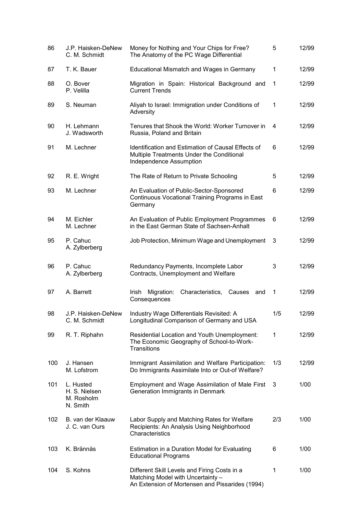| 86  | J.P. Haisken-DeNew<br>C. M. Schmidt                  | Money for Nothing and Your Chips for Free?<br>The Anatomy of the PC Wage Differential                                                | 5            | 12/99 |
|-----|------------------------------------------------------|--------------------------------------------------------------------------------------------------------------------------------------|--------------|-------|
| 87  | T. K. Bauer                                          | Educational Mismatch and Wages in Germany                                                                                            | $\mathbf{1}$ | 12/99 |
| 88  | O. Bover<br>P. Velilla                               | Migration in Spain: Historical Background and<br><b>Current Trends</b>                                                               | 1            | 12/99 |
| 89  | S. Neuman                                            | Aliyah to Israel: Immigration under Conditions of<br>Adversity                                                                       | 1            | 12/99 |
| 90  | H. Lehmann<br>J. Wadsworth                           | Tenures that Shook the World: Worker Turnover in<br>Russia, Poland and Britain                                                       | 4            | 12/99 |
| 91  | M. Lechner                                           | Identification and Estimation of Causal Effects of<br>Multiple Treatments Under the Conditional<br>Independence Assumption           | 6            | 12/99 |
| 92  | R. E. Wright                                         | The Rate of Return to Private Schooling                                                                                              | 5            | 12/99 |
| 93  | M. Lechner                                           | An Evaluation of Public-Sector-Sponsored<br>Continuous Vocational Training Programs in East<br>Germany                               | 6            | 12/99 |
| 94  | M. Eichler<br>M. Lechner                             | An Evaluation of Public Employment Programmes<br>in the East German State of Sachsen-Anhalt                                          | 6            | 12/99 |
| 95  | P. Cahuc<br>A. Zylberberg                            | Job Protection, Minimum Wage and Unemployment                                                                                        | 3            | 12/99 |
| 96  | P. Cahuc<br>A. Zylberberg                            | Redundancy Payments, Incomplete Labor<br>Contracts, Unemployment and Welfare                                                         | 3            | 12/99 |
| 97  | A. Barrett                                           | Characteristics,<br>Irish<br>Migration:<br>Causes<br>and<br>Consequences                                                             | 1            | 12/99 |
| 98  | J.P. Haisken-DeNew<br>C. M. Schmidt                  | Industry Wage Differentials Revisited: A<br>Longitudinal Comparison of Germany and USA                                               | 1/5          | 12/99 |
| 99  | R. T. Riphahn                                        | Residential Location and Youth Unemployment:<br>The Economic Geography of School-to-Work-<br><b>Transitions</b>                      | $\mathbf{1}$ | 12/99 |
| 100 | J. Hansen<br>M. Lofstrom                             | Immigrant Assimilation and Welfare Participation:<br>Do Immigrants Assimilate Into or Out-of Welfare?                                | 1/3          | 12/99 |
| 101 | L. Husted<br>H. S. Nielsen<br>M. Rosholm<br>N. Smith | Employment and Wage Assimilation of Male First<br>Generation Immigrants in Denmark                                                   | 3            | 1/00  |
| 102 | B. van der Klaauw<br>J. C. van Ours                  | Labor Supply and Matching Rates for Welfare<br>Recipients: An Analysis Using Neighborhood<br>Characteristics                         | 2/3          | 1/00  |
| 103 | K. Brännäs                                           | Estimation in a Duration Model for Evaluating<br><b>Educational Programs</b>                                                         | 6            | 1/00  |
| 104 | S. Kohns                                             | Different Skill Levels and Firing Costs in a<br>Matching Model with Uncertainty -<br>An Extension of Mortensen and Pissarides (1994) | 1            | 1/00  |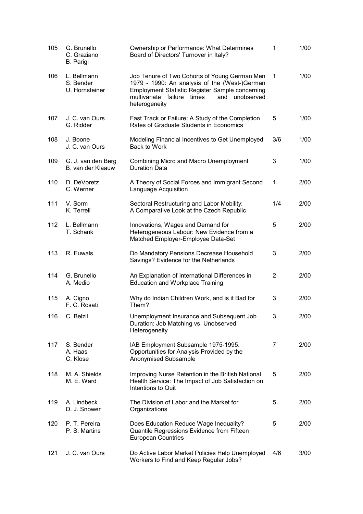| 105  | G. Brunello<br>C. Graziano<br>B. Parigi    | Ownership or Performance: What Determines<br>Board of Directors' Turnover in Italy?                                                                                                                                          | 1   | 1/00 |
|------|--------------------------------------------|------------------------------------------------------------------------------------------------------------------------------------------------------------------------------------------------------------------------------|-----|------|
| 106  | L. Bellmann<br>S. Bender<br>U. Hornsteiner | Job Tenure of Two Cohorts of Young German Men<br>1979 - 1990: An analysis of the (West-)German<br><b>Employment Statistic Register Sample concerning</b><br>multivariate failure times<br>and<br>unobserved<br>heterogeneity | 1   | 1/00 |
| 107  | J. C. van Ours<br>G. Ridder                | Fast Track or Failure: A Study of the Completion<br>Rates of Graduate Students in Economics                                                                                                                                  | 5   | 1/00 |
| 108  | J. Boone<br>J. C. van Ours                 | Modeling Financial Incentives to Get Unemployed<br>Back to Work                                                                                                                                                              | 3/6 | 1/00 |
| 109  | G. J. van den Berg<br>B. van der Klaauw    | Combining Micro and Macro Unemployment<br><b>Duration Data</b>                                                                                                                                                               | 3   | 1/00 |
| 110  | D. DeVoretz<br>C. Werner                   | A Theory of Social Forces and Immigrant Second<br>Language Acquisition                                                                                                                                                       | 1   | 2/00 |
| 111  | V. Sorm<br>K. Terrell                      | Sectoral Restructuring and Labor Mobility:<br>A Comparative Look at the Czech Republic                                                                                                                                       | 1/4 | 2/00 |
| 112  | L. Bellmann<br>T. Schank                   | Innovations, Wages and Demand for<br>Heterogeneous Labour: New Evidence from a<br>Matched Employer-Employee Data-Set                                                                                                         | 5   | 2/00 |
| 113  | R. Euwals                                  | Do Mandatory Pensions Decrease Household<br>Savings? Evidence for the Netherlands                                                                                                                                            | 3   | 2/00 |
| 114  | G. Brunello<br>A. Medio                    | An Explanation of International Differences in<br><b>Education and Workplace Training</b>                                                                                                                                    | 2   | 2/00 |
| 115  | A. Cigno<br>F. C. Rosati                   | Why do Indian Children Work, and is it Bad for<br>Them?                                                                                                                                                                      | 3   | 2/00 |
| 116. | C. Belzil                                  | Unemployment Insurance and Subsequent Job<br>Duration: Job Matching vs. Unobserved<br>Heterogeneity                                                                                                                          | 3   | 2/00 |
| 117  | S. Bender<br>A. Haas<br>C. Klose           | IAB Employment Subsample 1975-1995.<br>Opportunities for Analysis Provided by the<br>Anonymised Subsample                                                                                                                    | 7   | 2/00 |
| 118  | M. A. Shields<br>M. E. Ward                | Improving Nurse Retention in the British National<br>Health Service: The Impact of Job Satisfaction on<br>Intentions to Quit                                                                                                 | 5   | 2/00 |
| 119  | A. Lindbeck<br>D. J. Snower                | The Division of Labor and the Market for<br>Organizations                                                                                                                                                                    | 5   | 2/00 |
| 120  | P. T. Pereira<br>P. S. Martins             | Does Education Reduce Wage Inequality?<br>Quantile Regressions Evidence from Fifteen<br><b>European Countries</b>                                                                                                            | 5   | 2/00 |
| 121  | J. C. van Ours                             | Do Active Labor Market Policies Help Unemployed<br>Workers to Find and Keep Regular Jobs?                                                                                                                                    | 4/6 | 3/00 |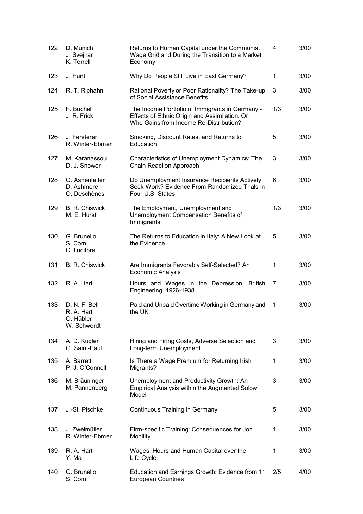| 122 | D. Munich<br>J. Svejnar<br>K. Terrell                   | Returns to Human Capital under the Communist<br>Wage Grid and During the Transition to a Market<br>Economy                                  | 4            | 3/00 |
|-----|---------------------------------------------------------|---------------------------------------------------------------------------------------------------------------------------------------------|--------------|------|
| 123 | J. Hunt                                                 | Why Do People Still Live in East Germany?                                                                                                   | 1            | 3/00 |
| 124 | R. T. Riphahn                                           | Rational Poverty or Poor Rationality? The Take-up<br>of Social Assistance Benefits                                                          | 3            | 3/00 |
| 125 | F. Büchel<br>J. R. Frick                                | The Income Portfolio of Immigrants in Germany -<br>Effects of Ethnic Origin and Assimilation. Or:<br>Who Gains from Income Re-Distribution? | 1/3          | 3/00 |
| 126 | J. Fersterer<br>R. Winter-Ebmer                         | Smoking, Discount Rates, and Returns to<br>Education                                                                                        | 5            | 3/00 |
| 127 | M. Karanassou<br>D. J. Snower                           | Characteristics of Unemployment Dynamics: The<br>Chain Reaction Approach                                                                    | 3            | 3/00 |
| 128 | O. Ashenfelter<br>D. Ashmore<br>O. Deschênes            | Do Unemployment Insurance Recipients Actively<br>Seek Work? Evidence From Randomized Trials in<br>Four U.S. States                          | 6            | 3/00 |
| 129 | B. R. Chiswick<br>M. E. Hurst                           | The Employment, Unemployment and<br>Unemployment Compensation Benefits of<br>Immigrants                                                     | 1/3          | 3/00 |
| 130 | G. Brunello<br>S. Comi<br>C. Lucifora                   | The Returns to Education in Italy: A New Look at<br>the Evidence                                                                            | 5            | 3/00 |
| 131 | <b>B. R. Chiswick</b>                                   | Are Immigrants Favorably Self-Selected? An<br>Economic Analysis                                                                             | $\mathbf{1}$ | 3/00 |
| 132 | R. A. Hart                                              | Hours and Wages in the Depression: British<br>Engineering, 1926-1938                                                                        | 7            | 3/00 |
| 133 | D. N. F. Bell<br>R. A. Hart<br>O. Hübler<br>W. Schwerdt | Paid and Unpaid Overtime Working in Germany and<br>the UK                                                                                   | 1            | 3/00 |
| 134 | A. D. Kugler<br>G. Saint-Paul                           | Hiring and Firing Costs, Adverse Selection and<br>Long-term Unemployment                                                                    | 3            | 3/00 |
| 135 | A. Barrett<br>P. J. O'Connell                           | Is There a Wage Premium for Returning Irish<br>Migrants?                                                                                    | 1            | 3/00 |
| 136 | M. Bräuninger<br>M. Pannenberg                          | Unemployment and Productivity Growth: An<br>Empirical Analysis within the Augmented Solow<br>Model                                          | 3            | 3/00 |
| 137 | J.-St. Pischke                                          | Continuous Training in Germany                                                                                                              | 5            | 3/00 |
| 138 | J. Zweimüller<br>R. Winter-Ebmer                        | Firm-specific Training: Consequences for Job<br>Mobility                                                                                    | 1            | 3/00 |
| 139 | R. A. Hart<br>Y. Ma                                     | Wages, Hours and Human Capital over the<br>Life Cycle                                                                                       | 1            | 3/00 |
| 140 | G. Brunello<br>S. Comi                                  | Education and Earnings Growth: Evidence from 11<br><b>European Countries</b>                                                                | 2/5          | 4/00 |